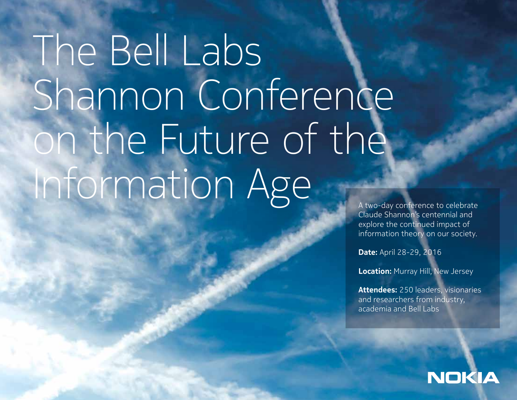# The Bell Labs Shannon Conference on the Future of the Information Age

Claude Shannon's centennial and explore the continued impact of information theory on our society.

**Date:** April 28-29, 2016

**Location:** Murray Hill, New Jersey

**Attendees:** 250 leaders, visionaries and researchers from industry, academia and Bell Labs

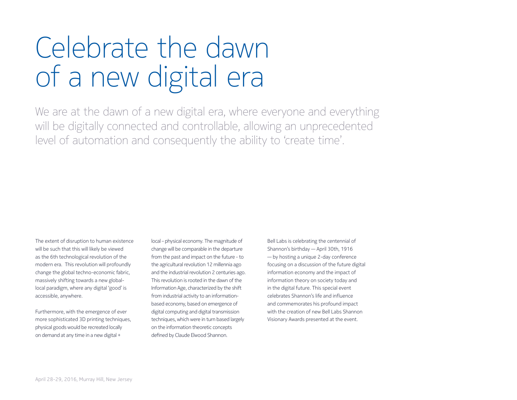## Celebrate the dawn of a new digital era

We are at the dawn of a new digital era, where everyone and everything will be digitally connected and controllable, allowing an unprecedented level of automation and consequently the ability to 'create time'.

The extent of disruption to human existence will be such that this will likely be viewed as the 6th technological revolution of the modern era. This revolution will profoundly change the global techno-economic fabric, massively shifting towards a new globallocal paradigm, where any digital 'good' is accessible, anywhere.

Furthermore, with the emergence of ever more sophisticated 3D printing techniques, physical goods would be recreated locally on demand at any time in a new digital +

local – physical economy. The magnitude of change will be comparable in the departure from the past and impact on the future - to the agricultural revolution 12 millennia ago and the industrial revolution 2 centuries ago. This revolution is rooted in the dawn of the Information Age, characterized by the shift from industrial activity to an informationbased economy, based on emergence of digital computing and digital transmission techniques, which were in turn based largely on the information theoretic concepts defined by Claude Elwood Shannon.

Bell Labs is celebrating the centennial of Shannon's birthday — April 30th, 1916 — by hosting a unique 2-day conference focusing on a discussion of the future digital information economy and the impact of information theory on society today and in the digital future. This special event celebrates Shannon's life and influence and commemorates his profound impact with the creation of new Bell Labs Shannon Visionary Awards presented at the event.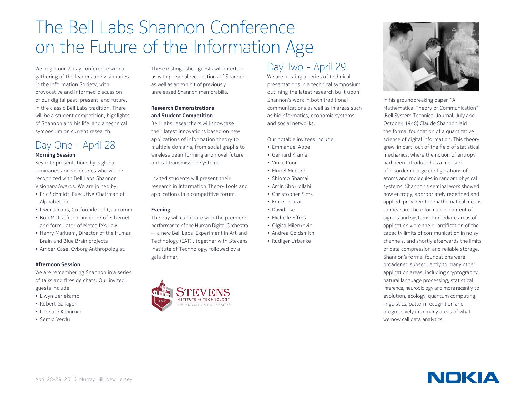## The Bell Labs Shannon Conference on the Future of the Information Age

We begin our 2-day conference with a gathering of the leaders and visionaries in the Information Society, with provocative and informed discussion of our digital past, present, and future, in the classic Bell Labs tradition. There will be a student competition, highlights of Shannon and his life, and a technical symposium on current research.

#### Day One - April 28 **Morning Session**

Keynote presentations by 5 global luminaries and visionaries who will be recognized with Bell Labs Shannon Visionary Awards. We are joined by:

- Eric Schmidt, Executive Chairman of Alphabet Inc.
- Irwin Jacobs, Co-founder of Qualcomm
- Bob Metcalfe, Co-inventor of Ethernet and formulator of Metcalfe's Law
- Henry Markram, Director of the Human Brain and Blue Brain projects
- Amber Case, Cyborg Anthropologist.

#### **Afternoon Session**

We are remembering Shannon in a series of talks and fireside chats. Our invited guests include:

- Elwyn Berlekamp
- Robert Gallager
- Leonard Kleinrock
- Sergio Verdu

These distinguished guests will entertain us with personal recollections of Shannon, as well as an exhibit of previously unreleased Shannon memorabilia.

#### **Research Demonstrations and Student Competition**

Bell Labs researchers will showcase their latest innovations based on new applications of information theory to multiple domains, from social graphs to wireless beamforming and novel future optical transmission systems.

Invited students will present their research in Information Theory tools and applications in a competitive forum.

#### **Evening**

The day will culminate with the premiere performance of the Human Digital Orchestra — a new Bell Labs 'Experiment in Art and Technology (EAT)', together with Stevens Institute of Technology, followed by a gala dinner.



We are hosting a series of technical presentations in a technical symposium outlining the latest research built upon Shannon's work in both traditional communications as well as in areas such as bioinformatics, economic systems and social networks.

Our notable invitees include:

- Emmanuel Abbe
- Gerhard Kramer
- Vince Poor
- Muriel Medard
- Shlomo Shamai
- Amin Shokrollahi
- Christopher Sims
- Emre Telatar
- David Tse
- Michelle Effros
- Olgica Milenkovic
- Andrea Goldsmith
- Rudiger Urbanke



In his groundbreaking paper, "A Mathematical Theory of Communication" (Bell System Technical Journal, July and October, 1948) Claude Shannon laid the formal foundation of a quantitative science of digital information. This theory grew, in part, out of the field of statistical mechanics, where the notion of entropy had been introduced as a measure of disorder in large configurations of atoms and molecules in random physical systems. Shannon's seminal work showed how entropy, appropriately redefined and applied, provided the mathematical means to measure the information content of signals and systems. Immediate areas of application were the quantification of the capacity limits of communication in noisy channels, and shortly afterwards the limits of data compression and reliable storage. Shannon's formal foundations were broadened subsequently to many other application areas, including cryptography, natural language processing, statistical inference, neurobiology and more recently to evolution, ecology, quantum computing, linguistics, pattern recognition and progressively into many areas of what we now call data analytics.